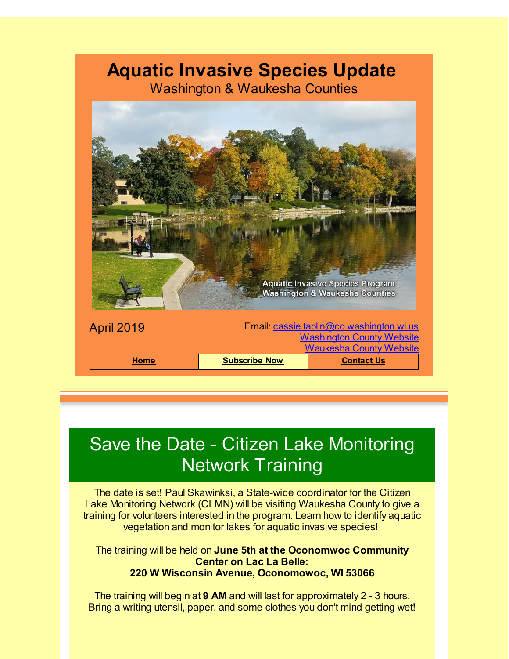### **Aquatic Invasive Species Update**

Washington & Waukesha Counties



# Save the Date - Citizen Lake Monitoring Network Training

The date is set! Paul Skawinksi, a State-wide coordinator for the Citizen Lake Monitoring Network (CLMN) will be visiting Waukesha County to give a training for volunteers interested in the program. Learn how to identify aquatic vegetation and monitor lakes for aquatic invasive species!

The training will be held on **June 5th at the Oconomwoc Community Center on Lac La Belle: 220 W Wisconsin Avenue, Oconomowoc, WI 53066**

The training will begin at **9 AM** and will last for approximately 2 - 3 hours. Bring a writing utensil, paper, and some clothes you don't mind getting wet!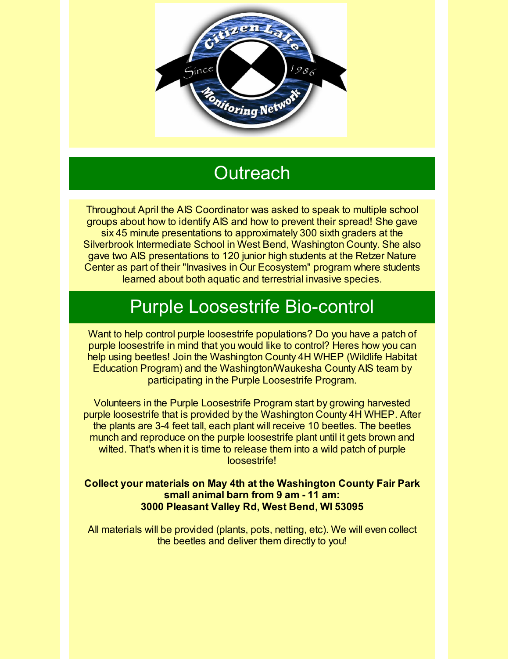

# **Outreach**

Throughout April the AIS Coordinator was asked to speak to multiple school groups about how to identify AIS and how to prevent their spread! She gave six 45 minute presentations to approximately 300 sixth graders at the Silverbrook Intermediate School in West Bend, Washington County. She also gave two AIS presentations to 120 junior high students at the Retzer Nature Center as part of their "Invasives in Our Ecosystem" program where students learned about both aquatic and terrestrial invasive species.

# Purple Loosestrife Bio-control

Want to help control purple loosestrife populations? Do you have a patch of purple loosestrife in mind that you would like to control? Heres how you can help using beetles! Join the Washington County 4H WHEP (Wildlife Habitat Education Program) and the Washington/Waukesha County AIS team by participating in the Purple Loosestrife Program.

Volunteers in the Purple Loosestrife Program start by growing harvested purple loosestrife that is provided by the Washington County 4H WHEP. After the plants are 3-4 feet tall, each plant will receive 10 beetles. The beetles munch and reproduce on the purple loosestrife plant until it gets brown and wilted. That's when it is time to release them into a wild patch of purple loosestrife!

#### **Collect your materials on May 4th at the Washington County Fair Park small animal barn from 9 am - 11 am: 3000 Pleasant Valley Rd, West Bend, WI 53095**

All materials will be provided (plants, pots, netting, etc). We will even collect the beetles and deliver them directly to you!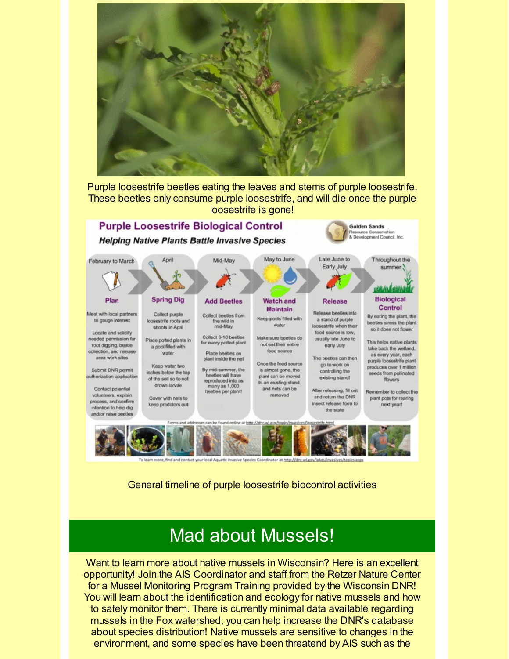

Purple loosestrife beetles eating the leaves and stems of purple loosestrife. These beetles only consume purple loosestrife, and will die once the purple loosestrife is gone!



General timeline of purple loosestrife biocontrol activities

### Mad about Mussels!

Want to learn more about native mussels in Wisconsin? Here is an excellent opportunity! Join the AIS Coordinator and staff from the Retzer Nature Center for a Mussel Monitoring Program Training provided by the Wisconsin DNR! You will learn about the identification and ecology for native mussels and how to safely monitor them. There is currently minimal data available regarding mussels in the Fox watershed; you can help increase the DNR's database about species distribution! Native mussels are sensitive to changes in the environment, and some species have been threatend by AIS such as the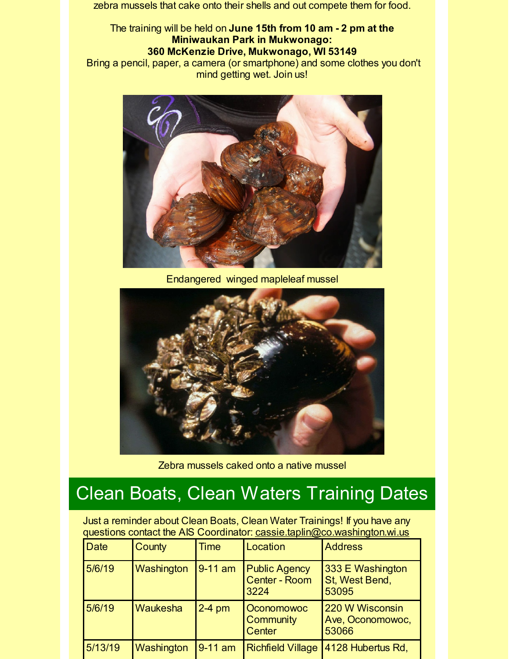zebra mussels that cake onto their shells and out compete them for food.

The training will be held on **June 15th from 10 am - 2 pm at the Miniwaukan Park in Mukwonago: 360 McKenzie Drive, Mukwonago, WI 53149**

Bring a pencil, paper, a camera (or smartphone) and some clothes you don't mind getting wet. Join us!



Endangered winged mapleleaf mussel



Zebra mussels caked onto a native mussel

# Clean Boats, Clean Waters Training Dates

Just a reminder about Clean Boats, Clean Water Trainings! If you have any questions contact the AIS Coordinator: [cassie.taplin@co.washington.wi.us](mailto:cassie.taplin@co.washington.wi.us)

| <b>Date</b> | <b>County</b> | <b>Time</b> | Location                                             | <b>Address</b>                               |
|-------------|---------------|-------------|------------------------------------------------------|----------------------------------------------|
| 5/6/19      | Washington    | $9-11$ am   | <b>Public Agency</b><br><b>Center - Room</b><br>3224 | 333 E Washington<br>St, West Bend,<br>53095  |
| 5/6/19      | Waukesha      | $2-4$ pm    | <b>Oconomowoc</b><br><b>Community</b><br>Center      | 220 W Wisconsin<br>Ave, Oconomowoc,<br>53066 |
| 5/13/19     | Washington    | $9-11$ am   | <b>Richfield Village</b>                             | 4128 Hubertus Rd,                            |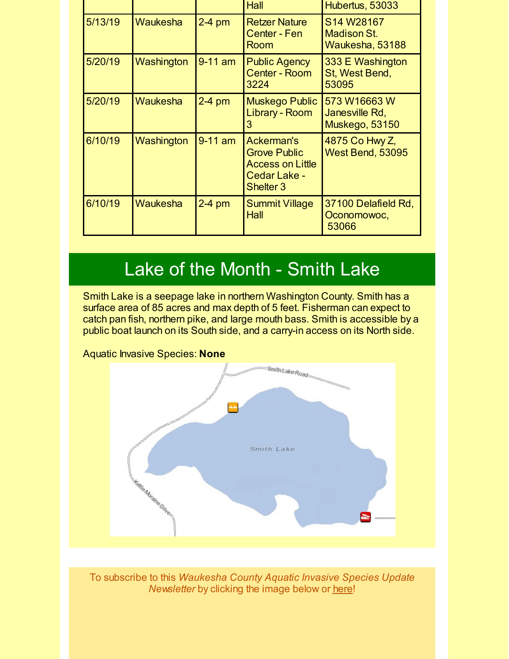|         |                 |           | Hall                                                                                                        | Hubertus, 53033                                     |
|---------|-----------------|-----------|-------------------------------------------------------------------------------------------------------------|-----------------------------------------------------|
| 5/13/19 | <b>Waukesha</b> | $2-4$ pm  | <b>Retzer Nature</b><br>Center - Fen<br>Room                                                                | S14 W28167<br><b>Madison St.</b><br>Waukesha, 53188 |
| 5/20/19 | Washington      | $9-11$ am | <b>Public Agency</b><br><b>Center - Room</b><br>3224                                                        | 333 E Washington<br>St, West Bend,<br>53095         |
| 5/20/19 | <b>Waukesha</b> | $2-4$ pm  | <b>Muskego Public</b><br>Library - Room<br>3                                                                | 573 W16663 W<br>Janesville Rd,<br>Muskego, 53150    |
| 6/10/19 | Washington      | $9-11$ am | <b>Ackerman's</b><br><b>Grove Public</b><br><b>Access on Little</b><br>Cedar Lake -<br>Shelter <sub>3</sub> | 4875 Co Hwy Z,<br>West Bend, 53095                  |
| 6/10/19 | Waukesha        | $2-4$ pm  | <b>Summit Village</b><br>Hall                                                                               | 37100 Delafield Rd,<br>Oconomowoc,<br>53066         |

# Lake of the Month - Smith Lake

Smith Lake is a seepage lake in northern Washington County. Smith has a surface area of 85 acres and max depth of 5 feet. Fisherman can expect to catch pan fish, northern pike, and large mouth bass. Smith is accessible by a public boat launch on its South side, and a carry-in access on its North side.



To subscribe to this *Waukesha County Aquatic Invasive Species Update Newsletter* by clicking the image below or [here](http://visitor.r20.constantcontact.com/d.jsp?llr=kfohqmcab&p=oi&m=1102078785706&sit=mdwsaogdb&f=72c567dd-ea1f-46d9-a3b3-0487646a78a3)!